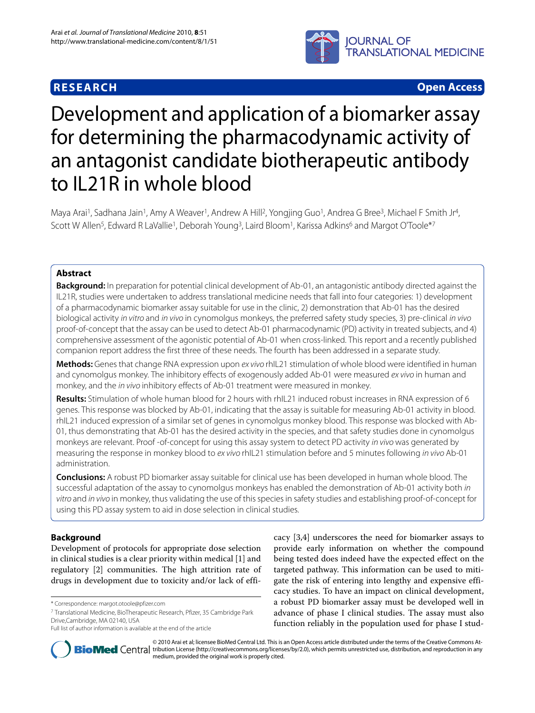## **RESEARCH Open Access**



# Development and application of a biomarker assay for determining the pharmacodynamic activity of an antagonist candidate biotherapeutic antibody to IL21R in whole blood

Maya Arai<sup>1</sup>, Sadhana Jain<sup>1</sup>, Amy A Weaver<sup>1</sup>, Andrew A Hill<sup>2</sup>, Yongjing Guo<sup>1</sup>, Andrea G Bree<sup>3</sup>, Michael F Smith Jr<sup>4</sup>, Scott W Allen<sup>5</sup>, Edward R LaVallie<sup>1</sup>, Deborah Young<sup>3</sup>, Laird Bloom<sup>1</sup>, Karissa Adkins<sup>6</sup> and Margot O'Toole\*<sup>7</sup>

## **Abstract**

**Background:** In preparation for potential clinical development of Ab-01, an antagonistic antibody directed against the IL21R, studies were undertaken to address translational medicine needs that fall into four categories: 1) development of a pharmacodynamic biomarker assay suitable for use in the clinic, 2) demonstration that Ab-01 has the desired biological activity in vitro and in vivo in cynomolgus monkeys, the preferred safety study species, 3) pre-clinical in vivo proof-of-concept that the assay can be used to detect Ab-01 pharmacodynamic (PD) activity in treated subjects, and 4) comprehensive assessment of the agonistic potential of Ab-01 when cross-linked. This report and a recently published companion report address the first three of these needs. The fourth has been addressed in a separate study.

**Methods:** Genes that change RNA expression upon ex vivo rhIL21 stimulation of whole blood were identified in human and cynomolgus monkey. The inhibitory effects of exogenously added Ab-01 were measured ex vivo in human and monkey, and the in vivo inhibitory effects of Ab-01 treatment were measured in monkey.

**Results:** Stimulation of whole human blood for 2 hours with rhIL21 induced robust increases in RNA expression of 6 genes. This response was blocked by Ab-01, indicating that the assay is suitable for measuring Ab-01 activity in blood. rhIL21 induced expression of a similar set of genes in cynomolgus monkey blood. This response was blocked with Ab-01, thus demonstrating that Ab-01 has the desired activity in the species, and that safety studies done in cynomolgus monkeys are relevant. Proof -of-concept for using this assay system to detect PD activity in vivo was generated by measuring the response in monkey blood to ex vivo rhIL21 stimulation before and 5 minutes following in vivo Ab-01 administration.

**Conclusions:** A robust PD biomarker assay suitable for clinical use has been developed in human whole blood. The successful adaptation of the assay to cynomolgus monkeys has enabled the demonstration of Ab-01 activity both in vitro and in vivo in monkey, thus validating the use of this species in safety studies and establishing proof-of-concept for using this PD assay system to aid in dose selection in clinical studies.

## **Background**

Development of protocols for appropriate dose selection in clinical studies is a clear priority within medical [[1\]](#page-11-0) and regulatory [[2\]](#page-11-1) communities. The high attrition rate of drugs in development due to toxicity and/or lack of effi-

7 Translational Medicine, BioTherapeutic Research, Pfizer, 35 Cambridge Park Drive,Cambridge, MA 02140, USA

cacy [\[3](#page-11-2),[4\]](#page-11-3) underscores the need for biomarker assays to provide early information on whether the compound being tested does indeed have the expected effect on the targeted pathway. This information can be used to mitigate the risk of entering into lengthy and expensive efficacy studies. To have an impact on clinical development, a robust PD biomarker assay must be developed well in advance of phase I clinical studies. The assay must also function reliably in the population used for phase I stud-



© 2010 Arai et al; licensee BioMed Central Ltd. This is an Open Access article distributed under the terms of the Creative Commons At-**Bio Med** Central tribution License (http://creativecommons.org/licenses/by/2.0), which permits unrestricted use, distribution, and reproduction in any medium, provided the original work is properly cited.

<sup>\*</sup> Correspondence: margot.otoole@pfizer.com

Full list of author information is available at the end of the article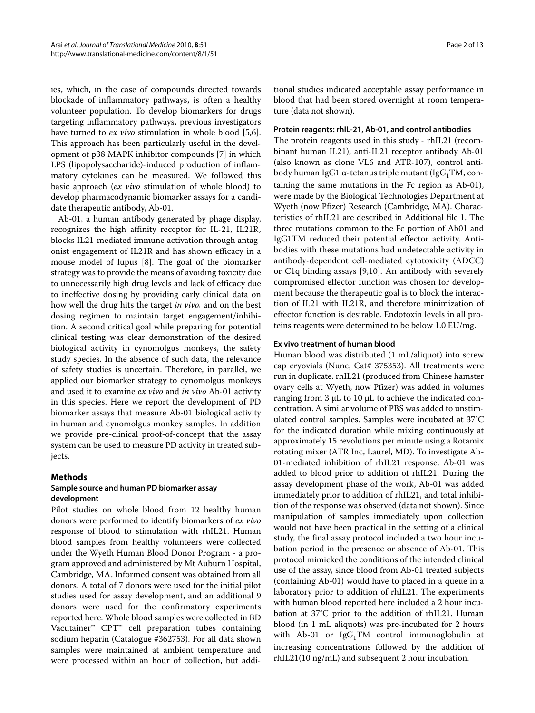ies, which, in the case of compounds directed towards blockade of inflammatory pathways, is often a healthy volunteer population. To develop biomarkers for drugs targeting inflammatory pathways, previous investigators have turned to *ex vivo* stimulation in whole blood [\[5](#page-11-4)[,6](#page-11-5)]. This approach has been particularly useful in the development of p38 MAPK inhibitor compounds [\[7\]](#page-11-6) in which LPS (lipopolysaccharide)-induced production of inflammatory cytokines can be measured. We followed this basic approach (*ex vivo* stimulation of whole blood) to develop pharmacodynamic biomarker assays for a candidate therapeutic antibody, Ab-01.

Ab-01, a human antibody generated by phage display, recognizes the high affinity receptor for IL-21, IL21R, blocks IL21-mediated immune activation through antagonist engagement of IL21R and has shown efficacy in a mouse model of lupus [[8\]](#page-12-0). The goal of the biomarker strategy was to provide the means of avoiding toxicity due to unnecessarily high drug levels and lack of efficacy due to ineffective dosing by providing early clinical data on how well the drug hits the target *in vivo,* and on the best dosing regimen to maintain target engagement/inhibition. A second critical goal while preparing for potential clinical testing was clear demonstration of the desired biological activity in cynomolgus monkeys, the safety study species. In the absence of such data, the relevance of safety studies is uncertain. Therefore, in parallel, we applied our biomarker strategy to cynomolgus monkeys and used it to examine *ex vivo* and *in vivo* Ab-01 activity in this species. Here we report the development of PD biomarker assays that measure Ab-01 biological activity in human and cynomolgus monkey samples. In addition we provide pre-clinical proof-of-concept that the assay system can be used to measure PD activity in treated subjects.

#### **Methods**

## **Sample source and human PD biomarker assay development**

Pilot studies on whole blood from 12 healthy human donors were performed to identify biomarkers of *ex vivo* response of blood to stimulation with rhIL21. Human blood samples from healthy volunteers were collected under the Wyeth Human Blood Donor Program - a program approved and administered by Mt Auburn Hospital, Cambridge, MA. Informed consent was obtained from all donors. A total of 7 donors were used for the initial pilot studies used for assay development, and an additional 9 donors were used for the confirmatory experiments reported here. Whole blood samples were collected in BD Vacutainer™ CPT™ cell preparation tubes containing sodium heparin (Catalogue #362753). For all data shown samples were maintained at ambient temperature and were processed within an hour of collection, but addi-

tional studies indicated acceptable assay performance in blood that had been stored overnight at room temperature (data not shown).

#### **Protein reagents: rhIL-21, Ab-01, and control antibodies**

The protein reagents used in this study - rhIL21 (recombinant human IL21), anti-IL21 receptor antibody Ab-01 (also known as clone VL6 and ATR-107), control antibody human IgG1 α-tetanus triple mutant (IgG<sub>1</sub>TM, containing the same mutations in the Fc region as Ab-01), were made by the Biological Technologies Department at Wyeth (now Pfizer) Research (Cambridge, MA). Characteristics of rhIL21 are described in Additional file [1](#page-11-7). The three mutations common to the Fc portion of Ab01 and IgG1TM reduced their potential effector activity. Antibodies with these mutations had undetectable activity in antibody-dependent cell-mediated cytotoxicity (ADCC) or C1q binding assays [\[9](#page-12-1),[10](#page-12-2)]. An antibody with severely compromised effector function was chosen for development because the therapeutic goal is to block the interaction of IL21 with IL21R, and therefore minimization of effector function is desirable. Endotoxin levels in all proteins reagents were determined to be below 1.0 EU/mg.

#### **Ex vivo treatment of human blood**

Human blood was distributed (1 mL/aliquot) into screw cap cryovials (Nunc, Cat# 375353). All treatments were run in duplicate. rhIL21 (produced from Chinese hamster ovary cells at Wyeth, now Pfizer) was added in volumes ranging from 3 μL to 10 μL to achieve the indicated concentration. A similar volume of PBS was added to unstimulated control samples. Samples were incubated at 37°C for the indicated duration while mixing continuously at approximately 15 revolutions per minute using a Rotamix rotating mixer (ATR Inc, Laurel, MD). To investigate Ab-01-mediated inhibition of rhIL21 response, Ab-01 was added to blood prior to addition of rhIL21. During the assay development phase of the work, Ab-01 was added immediately prior to addition of rhIL21, and total inhibition of the response was observed (data not shown). Since manipulation of samples immediately upon collection would not have been practical in the setting of a clinical study, the final assay protocol included a two hour incubation period in the presence or absence of Ab-01. This protocol mimicked the conditions of the intended clinical use of the assay, since blood from Ab-01 treated subjects (containing Ab-01) would have to placed in a queue in a laboratory prior to addition of rhIL21. The experiments with human blood reported here included a 2 hour incubation at 37°C prior to the addition of rhIL21. Human blood (in 1 mL aliquots) was pre-incubated for 2 hours with Ab-01 or  $IgG_1TM$  control immunoglobulin at increasing concentrations followed by the addition of rhIL21(10 ng/mL) and subsequent 2 hour incubation.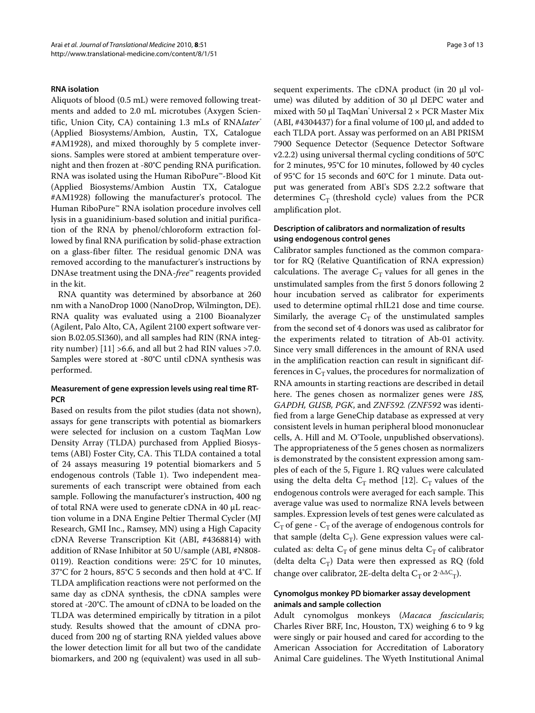#### **RNA isolation**

Aliquots of blood (0.5 mL) were removed following treatments and added to 2.0 mL microtubes (Axygen Scientific, Union City, CA) containing 1.3 mLs of RNA*later*<sup>®</sup> (Applied Biosystems/Ambion, Austin, TX, Catalogue #AM1928), and mixed thoroughly by 5 complete inversions. Samples were stored at ambient temperature overnight and then frozen at -80°C pending RNA purification. RNA was isolated using the Human RiboPure™-Blood Kit (Applied Biosystems/Ambion Austin TX, Catalogue #AM1928) following the manufacturer's protocol. The Human RiboPure™ RNA isolation procedure involves cell lysis in a guanidinium-based solution and initial purification of the RNA by phenol/chloroform extraction followed by final RNA purification by solid-phase extraction on a glass-fiber filter. The residual genomic DNA was removed according to the manufacturer's instructions by DNAse treatment using the DNA-*free*™ reagents provided in the kit.

RNA quantity was determined by absorbance at 260 nm with a NanoDrop 1000 (NanoDrop, Wilmington, DE). RNA quality was evaluated using a 2100 Bioanalyzer (Agilent, Palo Alto, CA, Agilent 2100 expert software version B.02.05.SI360), and all samples had RIN (RNA integrity number)  $[11] > 6.6$  $[11] > 6.6$  $[11] > 6.6$ , and all but 2 had RIN values  $> 7.0$ . Samples were stored at -80°C until cDNA synthesis was performed.

## **Measurement of gene expression levels using real time RT-PCR**

Based on results from the pilot studies (data not shown), assays for gene transcripts with potential as biomarkers were selected for inclusion on a custom TaqMan Low Density Array (TLDA) purchased from Applied Biosystems (ABI) Foster City, CA. This TLDA contained a total of 24 assays measuring 19 potential biomarkers and 5 endogenous controls (Table [1](#page-3-0)). Two independent measurements of each transcript were obtained from each sample. Following the manufacturer's instruction, 400 ng of total RNA were used to generate cDNA in 40 μL reaction volume in a DNA Engine Peltier Thermal Cycler (MJ Research, GMI Inc., Ramsey, MN) using a High Capacity cDNA Reverse Transcription Kit (ABI, #4368814) with addition of RNase Inhibitor at 50 U/sample (ABI, #N808- 0119). Reaction conditions were: 25°C for 10 minutes, 37°C for 2 hours, 85°C 5 seconds and then hold at 4°C. If TLDA amplification reactions were not performed on the same day as cDNA synthesis, the cDNA samples were stored at -20°C. The amount of cDNA to be loaded on the TLDA was determined empirically by titration in a pilot study. Results showed that the amount of cDNA produced from 200 ng of starting RNA yielded values above the lower detection limit for all but two of the candidate biomarkers, and 200 ng (equivalent) was used in all sub-

sequent experiments. The cDNA product (in 20 μl volume) was diluted by addition of 30 μl DEPC water and mixed with 50 μl TaqMan<sup>®</sup> Universal  $2 \times$  PCR Master Mix (ABI, #4304437) for a final volume of 100 μl, and added to each TLDA port. Assay was performed on an ABI PRISM 7900 Sequence Detector (Sequence Detector Software v2.2.2) using universal thermal cycling conditions of 50°C for 2 minutes, 95°C for 10 minutes, followed by 40 cycles of 95°C for 15 seconds and 60°C for 1 minute. Data output was generated from ABI's SDS 2.2.2 software that determines  $C_T$  (threshold cycle) values from the PCR amplification plot.

## **Description of calibrators and normalization of results using endogenous control genes**

Calibrator samples functioned as the common comparator for RQ (Relative Quantification of RNA expression) calculations. The average  $C_T$  values for all genes in the unstimulated samples from the first 5 donors following 2 hour incubation served as calibrator for experiments used to determine optimal rhIL21 dose and time course. Similarly, the average  $C_T$  of the unstimulated samples from the second set of 4 donors was used as calibrator for the experiments related to titration of Ab-01 activity. Since very small differences in the amount of RNA used in the amplification reaction can result in significant differences in  $C_T$  values, the procedures for normalization of RNA amounts in starting reactions are described in detail here. The genes chosen as normalizer genes were *18S, GAPDH, GUSB, PGK*, and *ZNF592. (ZNF592* was identified from a large GeneChip database as expressed at very consistent levels in human peripheral blood mononuclear cells, A. Hill and M. O'Toole, unpublished observations). The appropriateness of the 5 genes chosen as normalizers is demonstrated by the consistent expression among samples of each of the 5, Figure [1.](#page-4-0) RQ values were calculated using the delta delta  $C_T$  method [\[12\]](#page-12-4).  $C_T$  values of the endogenous controls were averaged for each sample. This average value was used to normalize RNA levels between samples. Expression levels of test genes were calculated as  $C_T$  of gene -  $C_T$  of the average of endogenous controls for that sample (delta  $C_T$ ). Gene expression values were calculated as: delta  $C_T$  of gene minus delta  $C_T$  of calibrator (delta delta  $C_T$ ) Data were then expressed as RQ (fold change over calibrator, 2E-delta delta  $C_T$  or 2<sup>-ΔΔC</sup><sub>T</sub>).

## **Cynomolgus monkey PD biomarker assay development animals and sample collection**

Adult cynomolgus monkeys (*Macaca fascicularis*; Charles River BRF, Inc, Houston, TX) weighing 6 to 9 kg were singly or pair housed and cared for according to the American Association for Accreditation of Laboratory Animal Care guidelines. The Wyeth Institutional Animal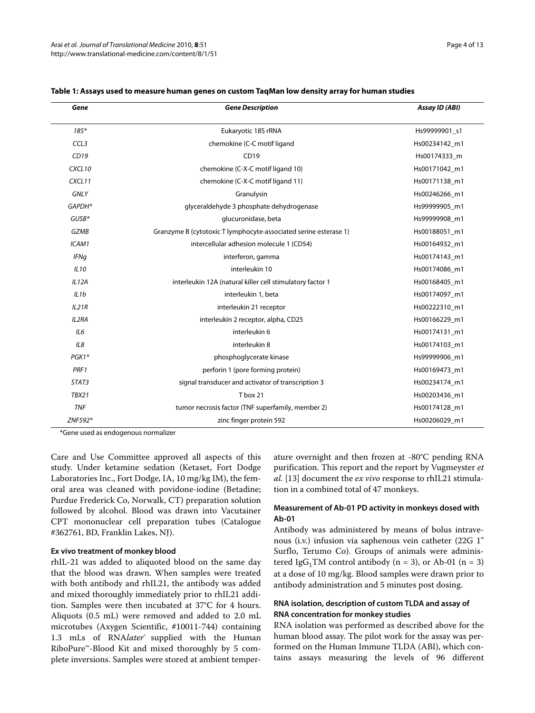| Gene               | <b>Gene Description</b>                                          | Assay ID (ABI) |  |
|--------------------|------------------------------------------------------------------|----------------|--|
| $185*$             | Eukaryotic 18S rRNA                                              | Hs99999901 s1  |  |
| CCL <sub>3</sub>   | chemokine (C-C motif ligand                                      | Hs00234142_m1  |  |
| CD19               | CD19                                                             | Hs00174333 m   |  |
| CXCL <sub>10</sub> | chemokine (C-X-C motif ligand 10)                                | Hs00171042_m1  |  |
| CXCL11             | chemokine (C-X-C motif ligand 11)                                | Hs00171138_m1  |  |
| <b>GNLY</b>        | Granulysin                                                       | Hs00246266 m1  |  |
| GAPDH*             | glyceraldehyde 3 phosphate dehydrogenase                         | Hs99999905 m1  |  |
| $GUSB*$            | glucuronidase, beta                                              | Hs99999908_m1  |  |
| <b>GZMB</b>        | Granzyme B (cytotoxic T lymphocyte-associated serine esterase 1) | Hs00188051 m1  |  |
| ICAM1              | intercellular adhesion molecule 1 (CD54)                         | Hs00164932_m1  |  |
| <b>IFNg</b>        | interferon, gamma                                                | Hs00174143 m1  |  |
| IL10               | interleukin 10                                                   | Hs00174086_m1  |  |
| IL12A              | interleukin 12A (natural killer cell stimulatory factor 1        | Hs00168405 m1  |  |
| IL1b               | interleukin 1, beta                                              | Hs00174097 m1  |  |
| IL21R              | interleukin 21 receptor                                          | Hs00222310_m1  |  |
| IL2RA              | interleukin 2 receptor, alpha, CD25                              | Hs00166229_m1  |  |
| IL6                | interleukin 6                                                    | Hs00174131 m1  |  |
| IL8                | interleukin 8                                                    | Hs00174103_m1  |  |
| PGK1*              | phosphoglycerate kinase                                          | Hs99999906 m1  |  |
| PRF1               | perforin 1 (pore forming protein)                                | Hs00169473_m1  |  |
| STAT3              | signal transducer and activator of transcription 3               | Hs00234174_m1  |  |
| <b>TBX21</b>       | T box 21                                                         | Hs00203436 m1  |  |
| <b>TNF</b>         | tumor necrosis factor (TNF superfamily, member 2)                | Hs00174128_m1  |  |
| ZNF592*            | zinc finger protein 592                                          | Hs00206029_m1  |  |

#### <span id="page-3-0"></span>**Table 1: Assays used to measure human genes on custom TaqMan low density array for human studies**

\*Gene used as endogenous normalizer

Care and Use Committee approved all aspects of this study. Under ketamine sedation (Ketaset, Fort Dodge Laboratories Inc., Fort Dodge, IA, 10 mg/kg IM), the femoral area was cleaned with povidone-iodine (Betadine; Purdue Frederick Co, Norwalk, CT) preparation solution followed by alcohol. Blood was drawn into Vacutainer CPT mononuclear cell preparation tubes (Catalogue #362761, BD, Franklin Lakes, NJ).

#### **Ex vivo treatment of monkey blood**

rhIL-21 was added to aliquoted blood on the same day that the blood was drawn. When samples were treated with both antibody and rhIL21, the antibody was added and mixed thoroughly immediately prior to rhIL21 addition. Samples were then incubated at 37°C for 4 hours. Aliquots (0.5 mL) were removed and added to 2.0 mL microtubes (Axygen Scientific, #10011-744) containing 1.3 mLs of RNA*later*® supplied with the Human RiboPure™-Blood Kit and mixed thoroughly by 5 complete inversions. Samples were stored at ambient temperature overnight and then frozen at -80°C pending RNA purification. This report and the report by Vugmeyster *et al.* [\[13](#page-12-5)] document the *ex vivo* response to rhIL21 stimulation in a combined total of 47 monkeys.

## **Measurement of Ab-01 PD activity in monkeys dosed with Ab-01**

Antibody was administered by means of bolus intravenous (i.v.) infusion via saphenous vein catheter (22G 1" Surflo, Terumo Co). Groups of animals were administered IgG<sub>1</sub>TM control antibody (n = 3), or Ab-01 (n = 3) at a dose of 10 mg/kg. Blood samples were drawn prior to antibody administration and 5 minutes post dosing.

## **RNA isolation, description of custom TLDA and assay of RNA concentration for monkey studies**

RNA isolation was performed as described above for the human blood assay. The pilot work for the assay was performed on the Human Immune TLDA (ABI), which contains assays measuring the levels of 96 different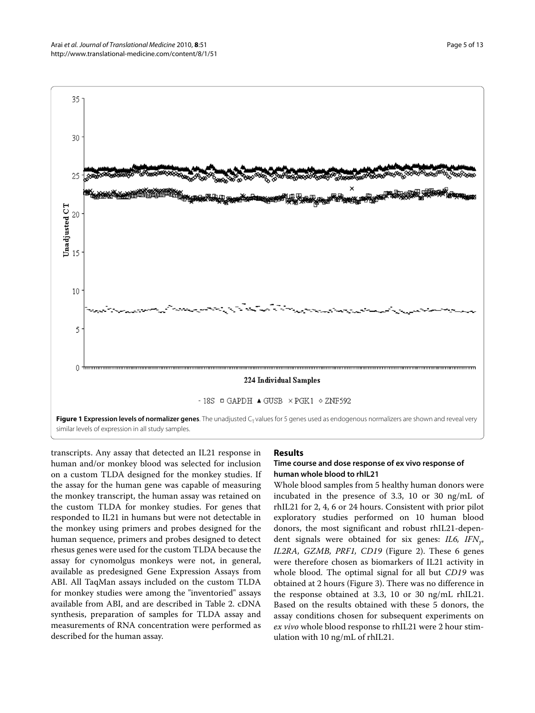<span id="page-4-0"></span>

transcripts. Any assay that detected an IL21 response in human and/or monkey blood was selected for inclusion on a custom TLDA designed for the monkey studies. If the assay for the human gene was capable of measuring the monkey transcript, the human assay was retained on the custom TLDA for monkey studies. For genes that responded to IL21 in humans but were not detectable in the monkey using primers and probes designed for the human sequence, primers and probes designed to detect rhesus genes were used for the custom TLDA because the assay for cynomolgus monkeys were not, in general, available as predesigned Gene Expression Assays from ABI. All TaqMan assays included on the custom TLDA for monkey studies were among the "inventoried" assays available from ABI, and are described in Table 2. cDNA synthesis, preparation of samples for TLDA assay and measurements of RNA concentration were performed as described for the human assay.

#### **Results**

## **Time course and dose response of ex vivo response of human whole blood to rhIL21**

Whole blood samples from 5 healthy human donors were incubated in the presence of 3.3, 10 or 30 ng/mL of rhIL21 for 2, 4, 6 or 24 hours. Consistent with prior pilot exploratory studies performed on 10 human blood donors, the most significant and robust rhIL21-dependent signals were obtained for six genes: *IL6, IFNγ*, *IL2RA, GZMB, PRF1, CD19* (Figure [2\)](#page-6-0). These 6 genes were therefore chosen as biomarkers of IL21 activity in whole blood. The optimal signal for all but *CD19* was obtained at 2 hours (Figure [3](#page-7-0)). There was no difference in the response obtained at 3.3, 10 or 30 ng/mL rhIL21. Based on the results obtained with these 5 donors, the assay conditions chosen for subsequent experiments on *ex vivo* whole blood response to rhIL21 were 2 hour stimulation with 10 ng/mL of rhIL21.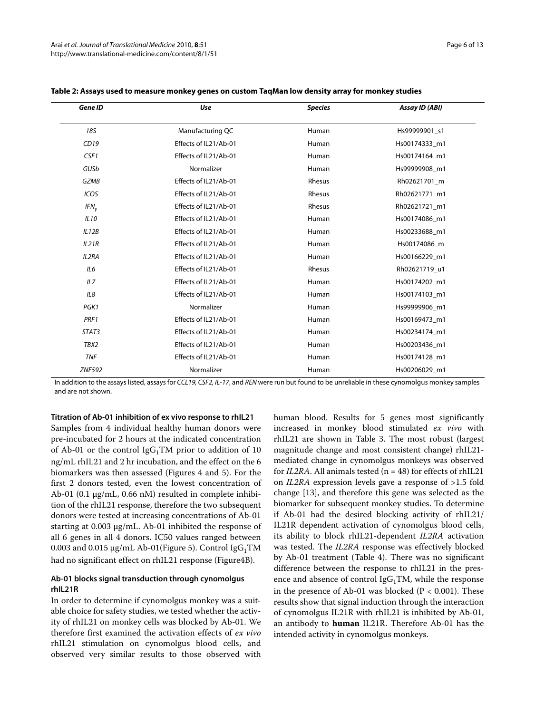| <b>Gene ID</b>   | <b>Use</b>            | <b>Species</b> | Assay ID (ABI) |  |
|------------------|-----------------------|----------------|----------------|--|
| <b>18S</b>       | Manufacturing QC      | Human          | Hs99999901 s1  |  |
| CD19             | Effects of IL21/Ab-01 | Human          | Hs00174333 m1  |  |
| CSF1             | Effects of IL21/Ab-01 | Human          | Hs00174164_m1  |  |
| GUSb             | Normalizer            | Human          | Hs99999908 m1  |  |
| <b>GZMB</b>      | Effects of IL21/Ab-01 | Rhesus         | Rh02621701_m   |  |
| ICOS             | Effects of IL21/Ab-01 | Rhesus         | Rh02621771_m1  |  |
| IFN <sub>v</sub> | Effects of IL21/Ab-01 | Rhesus         | Rh02621721 m1  |  |
| IL10             | Effects of IL21/Ab-01 | Human          | Hs00174086 m1  |  |
| IL12B            | Effects of IL21/Ab-01 | Human          | Hs00233688_m1  |  |
| IL21R            | Effects of IL21/Ab-01 | Human          | Hs00174086 m   |  |
| <b>IL2RA</b>     | Effects of IL21/Ab-01 | Human          | Hs00166229 m1  |  |
| IL6              | Effects of IL21/Ab-01 | Rhesus         | Rh02621719 u1  |  |
| ILZ              | Effects of IL21/Ab-01 | Human          | Hs00174202 m1  |  |
| IL8              | Effects of IL21/Ab-01 | Human          | Hs00174103 m1  |  |
| PGK1             | Normalizer            | Human          | Hs99999906 m1  |  |
| PRF1             | Effects of IL21/Ab-01 | Human          | Hs00169473 m1  |  |
| STAT3            | Effects of IL21/Ab-01 | Human          | Hs00234174 m1  |  |
| TBX2             | Effects of IL21/Ab-01 | Human          | Hs00203436 m1  |  |
| <b>TNF</b>       | Effects of IL21/Ab-01 | Human          | Hs00174128_m1  |  |
| <b>ZNF592</b>    | Normalizer            | Human          | Hs00206029 m1  |  |

#### **Table 2: Assays used to measure monkey genes on custom TaqMan low density array for monkey studies**

In addition to the assays listed, assays for CCL19, CSF2, IL-17, and REN were run but found to be unreliable in these cynomolgus monkey samples and are not shown.

**Titration of Ab-01 inhibition of ex vivo response to rhIL21** Samples from 4 individual healthy human donors were pre-incubated for 2 hours at the indicated concentration of Ab-01 or the control  $\text{IgG}_1$ TM prior to addition of 10 ng/mL rhIL21 and 2 hr incubation, and the effect on the 6 biomarkers was then assessed (Figures [4](#page-8-0) and [5\)](#page-9-0). For the first 2 donors tested, even the lowest concentration of Ab-01 (0.1 μg/mL, 0.66 nM) resulted in complete inhibition of the rhIL21 response, therefore the two subsequent donors were tested at increasing concentrations of Ab-01 starting at 0.003 μg/mL. Ab-01 inhibited the response of all 6 genes in all 4 donors. IC50 values ranged between 0.003 and 0.015  $\mu$ g/mL Ab-01(Figure [5](#page-9-0)). Control IgG<sub>1</sub>TM had no significant effect on rhIL21 response (Figure[4](#page-8-0)B).

## **Ab-01 blocks signal transduction through cynomolgus rhIL21R**

In order to determine if cynomolgus monkey was a suitable choice for safety studies, we tested whether the activity of rhIL21 on monkey cells was blocked by Ab-01. We therefore first examined the activation effects of *ex vivo* rhIL21 stimulation on cynomolgus blood cells, and observed very similar results to those observed with human blood. Results for 5 genes most significantly increased in monkey blood stimulated *ex vivo* with rhIL21 are shown in Table 3. The most robust (largest magnitude change and most consistent change) rhIL21 mediated change in cynomolgus monkeys was observed for *IL2RA*. All animals tested (n = 48) for effects of rhIL21 on *IL2RA* expression levels gave a response of >1.5 fold change [\[13\]](#page-12-5), and therefore this gene was selected as the biomarker for subsequent monkey studies. To determine if Ab-01 had the desired blocking activity of rhIL21/ IL21R dependent activation of cynomolgus blood cells, its ability to block rhIL21-dependent *IL2RA* activation was tested. The *IL2RA* response was effectively blocked by Ab-01 treatment (Table 4). There was no significant difference between the response to rhIL21 in the presence and absence of control  $IgG_1TM$ , while the response in the presence of Ab-01 was blocked ( $P < 0.001$ ). These results show that signal induction through the interaction of cynomolgus IL21R with rhIL21 is inhibited by Ab-01, an antibody to **human** IL21R. Therefore Ab-01 has the intended activity in cynomolgus monkeys.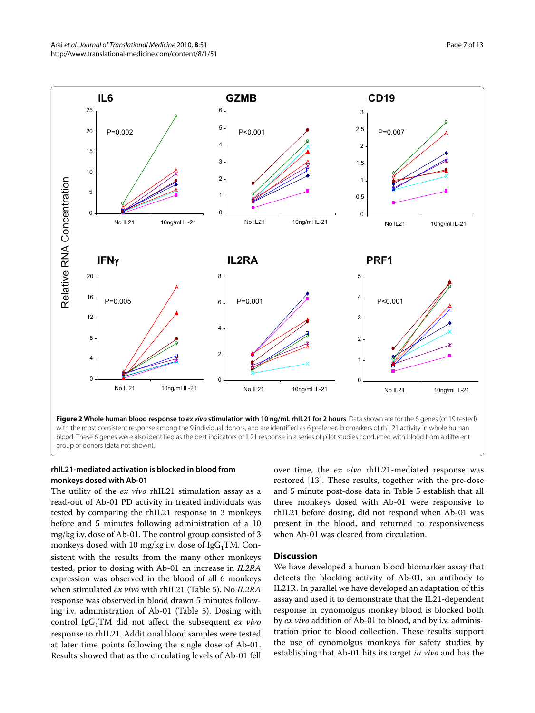<span id="page-6-0"></span>

**Figure 2 Whole human blood response to ex vivo stimulation with 10 ng/mL rhIL21 for 2 hours**. Data shown are for the 6 genes (of 19 tested) with the most consistent response among the 9 individual donors, and are identified as 6 preferred biomarkers of rhIL21 activity in whole human blood. These 6 genes were also identified as the best indicators of IL21 response in a series of pilot studies conducted with blood from a different

## **rhIL21-mediated activation is blocked in blood from monkeys dosed with Ab-01**

The utility of the *ex vivo* rhIL21 stimulation assay as a read-out of Ab-01 PD activity in treated individuals was tested by comparing the rhIL21 response in 3 monkeys before and 5 minutes following administration of a 10 mg/kg i.v. dose of Ab-01. The control group consisted of 3 monkeys dosed with 10 mg/kg i.v. dose of  $IgG_1TM$ . Consistent with the results from the many other monkeys tested, prior to dosing with Ab-01 an increase in *IL2RA* expression was observed in the blood of all 6 monkeys when stimulated *ex vivo* with rhIL21 (Table 5). No *IL2RA* response was observed in blood drawn 5 minutes following i.v. administration of Ab-01 (Table 5). Dosing with control IgG<sub>1</sub>TM did not affect the subsequent *ex vivo* response to rhIL21. Additional blood samples were tested at later time points following the single dose of Ab-01. Results showed that as the circulating levels of Ab-01 fell

over time, the *ex vivo* rhIL21-mediated response was restored [[13](#page-12-5)]. These results, together with the pre-dose and 5 minute post-dose data in Table 5 establish that all three monkeys dosed with Ab-01 were responsive to rhIL21 before dosing, did not respond when Ab-01 was present in the blood, and returned to responsiveness when Ab-01 was cleared from circulation.

#### **Discussion**

We have developed a human blood biomarker assay that detects the blocking activity of Ab-01, an antibody to IL21R. In parallel we have developed an adaptation of this assay and used it to demonstrate that the IL21-dependent response in cynomolgus monkey blood is blocked both by *ex vivo* addition of Ab-01 to blood, and by i.v. administration prior to blood collection. These results support the use of cynomolgus monkeys for safety studies by establishing that Ab-01 hits its target *in vivo* and has the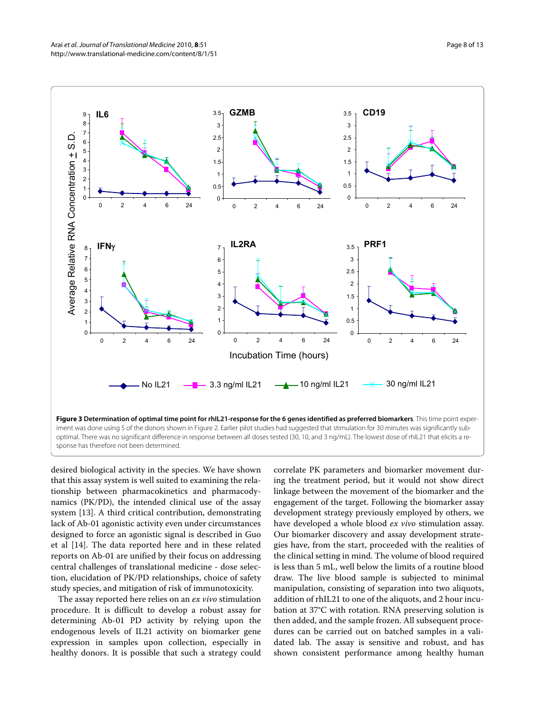<span id="page-7-0"></span>

desired biological activity in the species. We have shown that this assay system is well suited to examining the relationship between pharmacokinetics and pharmacodynamics (PK/PD), the intended clinical use of the assay system [\[13\]](#page-12-5). A third critical contribution, demonstrating lack of Ab-01 agonistic activity even under circumstances designed to force an agonistic signal is described in Guo et al [[14\]](#page-12-6). The data reported here and in these related reports on Ab-01 are unified by their focus on addressing central challenges of translational medicine - dose selection, elucidation of PK/PD relationships, choice of safety study species, and mitigation of risk of immunotoxicity.

The assay reported here relies on an *ex vivo* stimulation procedure. It is difficult to develop a robust assay for determining Ab-01 PD activity by relying upon the endogenous levels of IL21 activity on biomarker gene expression in samples upon collection, especially in healthy donors. It is possible that such a strategy could

correlate PK parameters and biomarker movement during the treatment period, but it would not show direct linkage between the movement of the biomarker and the engagement of the target. Following the biomarker assay development strategy previously employed by others, we have developed a whole blood *ex vivo* stimulation assay. Our biomarker discovery and assay development strategies have, from the start, proceeded with the realities of the clinical setting in mind. The volume of blood required is less than 5 mL, well below the limits of a routine blood draw. The live blood sample is subjected to minimal manipulation, consisting of separation into two aliquots, addition of rhIL21 to one of the aliquots, and 2 hour incubation at 37°C with rotation. RNA preserving solution is then added, and the sample frozen. All subsequent procedures can be carried out on batched samples in a validated lab. The assay is sensitive and robust, and has shown consistent performance among healthy human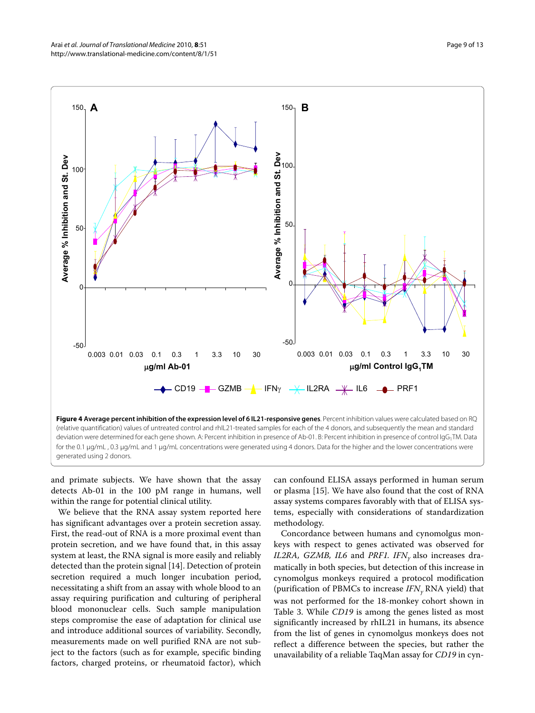<span id="page-8-0"></span>

and primate subjects. We have shown that the assay detects Ab-01 in the 100 pM range in humans, well within the range for potential clinical utility.

We believe that the RNA assay system reported here has significant advantages over a protein secretion assay. First, the read-out of RNA is a more proximal event than protein secretion, and we have found that, in this assay system at least, the RNA signal is more easily and reliably detected than the protein signal [\[14](#page-12-6)]. Detection of protein secretion required a much longer incubation period, necessitating a shift from an assay with whole blood to an assay requiring purification and culturing of peripheral blood mononuclear cells. Such sample manipulation steps compromise the ease of adaptation for clinical use and introduce additional sources of variability. Secondly, measurements made on well purified RNA are not subject to the factors (such as for example, specific binding factors, charged proteins, or rheumatoid factor), which

can confound ELISA assays performed in human serum or plasma [\[15](#page-12-7)]. We have also found that the cost of RNA assay systems compares favorably with that of ELISA systems, especially with considerations of standardization methodology.

Concordance between humans and cynomolgus monkeys with respect to genes activated was observed for *IL2RA, GZMB, IL6* and *PRF1. IFN<sub>y</sub>* also increases dramatically in both species, but detection of this increase in cynomolgus monkeys required a protocol modification (purification of PBMCs to increase *IFNγ* RNA yield) that was not performed for the 18-monkey cohort shown in Table [3](#page-9-1). While *CD19* is among the genes listed as most significantly increased by rhIL21 in humans, its absence from the list of genes in cynomolgus monkeys does not reflect a difference between the species, but rather the unavailability of a reliable TaqMan assay for *CD19* in cyn-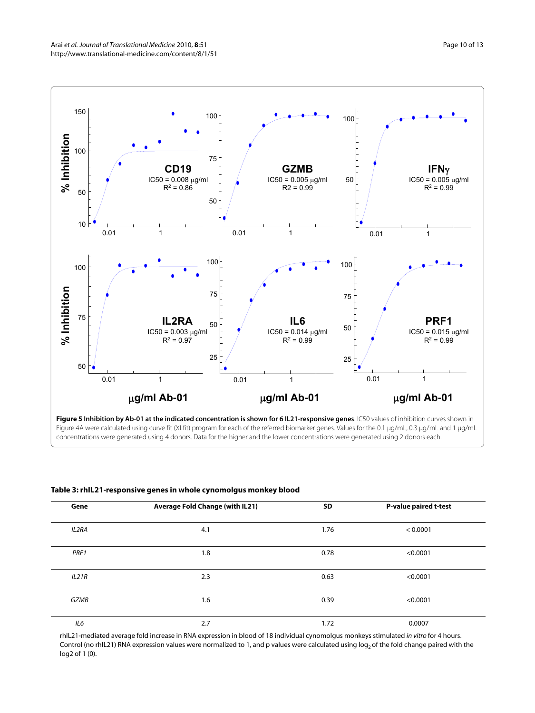<span id="page-9-0"></span>

**Figure 5 Inhibition by Ab-01 at the indicated concentration is shown for 6 IL21-responsive genes**. IC50 values of inhibition curves shown in Figure 4A were calculated using curve fit (XLfit) program for each of the referred biomarker genes. Values for the 0.1 μg/mL, 0.3 μg/mL and 1 μg/mL concentrations were generated using 4 donors. Data for the higher and the lower concentrations were generated using 2 donors each.

<span id="page-9-1"></span>

| Table 3: rhIL21-responsive genes in whole cynomolgus monkey blood |  |  |
|-------------------------------------------------------------------|--|--|
|-------------------------------------------------------------------|--|--|

| Gene  | <b>Average Fold Change (with IL21)</b> | SD   | <b>P-value paired t-test</b> |
|-------|----------------------------------------|------|------------------------------|
| IL2RA | 4.1                                    | 1.76 | < 0.0001                     |
| PRF1  | 1.8                                    | 0.78 | < 0.0001                     |
| IL21R | 2.3                                    | 0.63 | < 0.0001                     |
| GZMB  | 1.6                                    | 0.39 | < 0.0001                     |
| IL6   | 2.7                                    | 1.72 | 0.0007                       |

rhIL21-mediated average fold increase in RNA expression in blood of 18 individual cynomolgus monkeys stimulated in vitro for 4 hours. Control (no rhIL21) RNA expression values were normalized to 1, and p values were calculated using log<sub>2</sub> of the fold change paired with the log2 of 1 (0).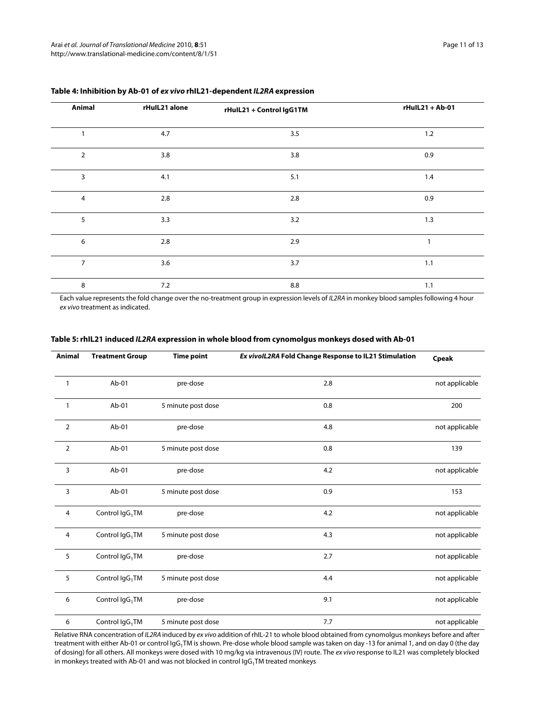| Animal         | rHulL21 alone | rHulL21 + Control IgG1TM | rHulL21 + Ab-01 |
|----------------|---------------|--------------------------|-----------------|
| $\mathbf{1}$   | 4.7           | 3.5                      | 1.2             |
| $\mathbf 2$    | 3.8           | 3.8                      | 0.9             |
| 3              | 4.1           | 5.1                      | 1.4             |
| $\overline{4}$ | 2.8           | 2.8                      | 0.9             |
| 5              | 3.3           | 3.2                      | 1.3             |
| 6              | 2.8           | 2.9                      | 1               |
| $\overline{7}$ | 3.6           | 3.7                      | 1.1             |
| 8              | 7.2           | 8.8                      | 1.1             |

## **Table 4: Inhibition by Ab-01 of ex vivo rhIL21-dependent IL2RA expression**

Each value represents the fold change over the no-treatment group in expression levels of IL2RA in monkey blood samples following 4 hour ex vivo treatment as indicated.

| <b>Animal</b>  | <b>Treatment Group</b>      | <b>Time point</b>  | Ex vivolL2RA Fold Change Response to IL21 Stimulation | Cpeak          |
|----------------|-----------------------------|--------------------|-------------------------------------------------------|----------------|
| 1              | $Ab-01$                     | pre-dose           | 2.8                                                   | not applicable |
| 1              | Ab-01                       | 5 minute post dose | 0.8                                                   | 200            |
| $\overline{2}$ | Ab-01                       | pre-dose           | 4.8                                                   | not applicable |
| $\overline{2}$ | Ab-01                       | 5 minute post dose | 0.8                                                   | 139            |
| 3              | $Ab-01$                     | pre-dose           | 4.2                                                   | not applicable |
| 3              | Ab-01                       | 5 minute post dose | 0.9                                                   | 153            |
| 4              | Control IgG <sub>1</sub> TM | pre-dose           | 4.2                                                   | not applicable |
| 4              | Control IgG <sub>1</sub> TM | 5 minute post dose | 4.3                                                   | not applicable |
| 5              | Control IgG <sub>1</sub> TM | pre-dose           | 2.7                                                   | not applicable |
| 5              | Control IgG <sub>1</sub> TM | 5 minute post dose | 4.4                                                   | not applicable |
| 6              | Control IgG <sub>1</sub> TM | pre-dose           | 9.1                                                   | not applicable |
| 6              | Control IgG <sub>1</sub> TM | 5 minute post dose | 7.7                                                   | not applicable |

## **Table 5: rhIL21 induced IL2RA expression in whole blood from cynomolgus monkeys dosed with Ab-01**

Relative RNA concentration of IL2RA induced by ex vivo addition of rhIL-21 to whole blood obtained from cynomolgus monkeys before and after treatment with either Ab-01 or control IgG<sub>1</sub>TM is shown. Pre-dose whole blood sample was taken on day -13 for animal 1, and on day 0 (the day of dosing) for all others. All monkeys were dosed with 10 mg/kg via intravenous (IV) route. The ex vivo response to IL21 was completely blocked in monkeys treated with Ab-01 and was not blocked in control  $\log_{1}TN$  treated monkeys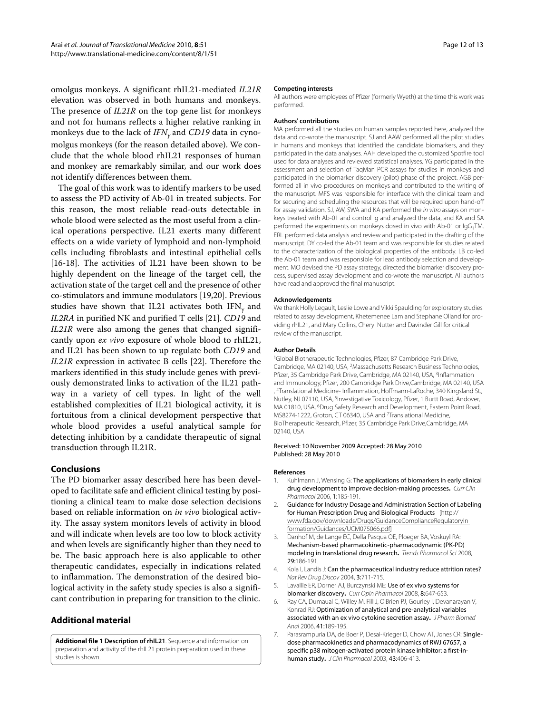omolgus monkeys. A significant rhIL21-mediated *IL21R* elevation was observed in both humans and monkeys. The presence of *IL21R* on the top gene list for monkeys and not for humans reflects a higher relative ranking in monkeys due to the lack of *IFN<sub>v</sub>* and *CD19* data in cynomolgus monkeys (for the reason detailed above). We conclude that the whole blood rhIL21 responses of human and monkey are remarkably similar, and our work does not identify differences between them.

The goal of this work was to identify markers to be used to assess the PD activity of Ab-01 in treated subjects. For this reason, the most reliable read-outs detectable in whole blood were selected as the most useful from a clinical operations perspective. IL21 exerts many different effects on a wide variety of lymphoid and non-lymphoid cells including fibroblasts and intestinal epithelial cells [[16-](#page-12-8)[18](#page-12-9)]. The activities of IL21 have been shown to be highly dependent on the lineage of the target cell, the activation state of the target cell and the presence of other co-stimulators and immune modulators [\[19](#page-12-10)[,20](#page-12-11)]. Previous studies have shown that IL21 activates both  $IFN<sub>v</sub>$  and *IL2RA* in purified NK and purified T cells [[21\]](#page-12-12). *CD19* and *IL21R* were also among the genes that changed significantly upon *ex vivo* exposure of whole blood to rhIL21, and IL21 has been shown to up regulate both *CD19* and *IL21R* expression in activatec B cells [\[22\]](#page-12-13). Therefore the markers identified in this study include genes with previously demonstrated links to activation of the IL21 pathway in a variety of cell types. In light of the well established complexities of IL21 biological activity, it is fortuitous from a clinical development perspective that whole blood provides a useful analytical sample for detecting inhibition by a candidate therapeutic of signal transduction through IL21R.

## **Conclusions**

The PD biomarker assay described here has been developed to facilitate safe and efficient clinical testing by positioning a clinical team to make dose selection decisions based on reliable information on *in vivo* biological activity. The assay system monitors levels of activity in blood and will indicate when levels are too low to block activity and when levels are significantly higher than they need to be. The basic approach here is also applicable to other therapeutic candidates, especially in indications related to inflammation. The demonstration of the desired biological activity in the safety study species is also a significant contribution in preparing for transition to the clinic.

## **Additional material**

<span id="page-11-7"></span>**[Additional file 1](http://www.biomedcentral.com/content/supplementary/1479-5876-8-51-S1.DOC) Description of rhIL21**. Sequence and information on preparation and activity of the rhIL21 protein preparation used in these studies is shown.

#### **Competing interests**

All authors were employees of Pfizer (formerly Wyeth) at the time this work was performed.

#### **Authors' contributions**

MA performed all the studies on human samples reported here, analyzed the data and co-wrote the manuscript. SJ and AAW performed all the pilot studies in humans and monkeys that identified the candidate biomarkers, and they participated in the data analyses. AAH developed the customized Spotfire tool used for data analyses and reviewed statistical analyses. YG participated in the assessment and selection of TaqMan PCR assays for studies in monkeys and participated in the biomarker discovery (pilot) phase of the project. AGB performed all in vivo procedures on monkeys and contributed to the writing of the manuscript. MFS was responsible for interface with the clinical team and for securing and scheduling the resources that will be required upon hand-off for assay validation. SJ, AW, SWA and KA performed the in vitro assays on monkeys treated with Ab-01 and control Ig and analyzed the data, and KA and SA performed the experiments on monkeys dosed in vivo with Ab-01 or IgG<sub>1</sub>TM. ERL performed data analysis and review and participated in the drafting of the manuscript. DY co-led the Ab-01 team and was responsible for studies related to the characterization of the biological properties of the antibody. LB co-led the Ab-01 team and was responsible for lead antibody selection and development. MO devised the PD assay strategy, directed the biomarker discovery process, supervised assay development and co-wrote the manuscript. All authors have read and approved the final manuscript.

#### **Acknowledgements**

We thank Holly Legault, Leslie Lowe and Vikki Spaulding for exploratory studies related to assay development, Khetemenee Lam and Stephane Olland for providing rhIL21, and Mary Collins, Cheryl Nutter and Davinder Gill for critical review of the manuscript.

#### **Author Details**

1Global Biotherapeutic Technologies, Pfizer, 87 Cambridge Park Drive, Cambridge, MA 02140, USA, 2Massachusetts Research Business Technologies, Pfizer, 35 Cambridge Park Drive, Cambridge, MA 02140, USA, 3Inflammation and Immunology, Pfizer, 200 Cambridge Park Drive,Cambridge, MA 02140, USA , 4Translational Medicine- Inflammation, Hoffmann-LaRoche, 340 Kingsland St., Nutley, NJ 07110, USA, 5Investigative Toxicology, Pfizer, 1 Burtt Road, Andover, MA 01810, USA, 6Drug Safety Research and Development, Eastern Point Road, MS8274-1222, Groton, CT 06340, USA and 7Translational Medicine, BioTherapeutic Research, Pfizer, 35 Cambridge Park Drive,Cambridge, MA 02140, USA

#### Received: 10 November 2009 Accepted: 28 May 2010 Published: 28 May 2010

#### **References**

- <span id="page-11-0"></span>1. Kuhlmann J, Wensing G: The applications of biomarkers in early clinical drug development to improve decision-making processes**.** Curr Clin Pharmacol 2006, 1:185-191.
- <span id="page-11-1"></span>2. Guidance for Industry Dosage and Administration Section of Labeling for Human Prescription Drug and Biological Products [[http://](http://www.fda.gov/downloads/Drugs/GuidanceComplianceRegulatoryIn formation/Guidances/UCM075066.pdf) [www.fda.gov/downloads/Drugs/GuidanceComplianceRegulatoryIn](http://www.fda.gov/downloads/Drugs/GuidanceComplianceRegulatoryIn formation/Guidances/UCM075066.pdf)  [formation/Guidances/UCM075066.pdf](http://www.fda.gov/downloads/Drugs/GuidanceComplianceRegulatoryIn formation/Guidances/UCM075066.pdf)]
- <span id="page-11-2"></span>3. Danhof M, de Lange EC, Della Pasqua OE, Ploeger BA, Voskuyl RA: Mechanism-based pharmacokinetic-pharmacodynamic (PK-PD) modeling in translational drug research**[.](http://www.ncbi.nlm.nih.gov/entrez/query.fcgi?cmd=Retrieve&db=PubMed&dopt=Abstract&list_uids=18353445)** Trends Pharmacol Sci 2008, 29:186-191.
- <span id="page-11-3"></span>4. Kola I, Landis J: Can the pharmaceutical industry reduce attrition rates? Nat Rev Drug Discov 2004, 3:711-715.
- <span id="page-11-4"></span>5. Lavallie ER, Dorner AJ, Burczynski ME: Use of ex vivo systems for biomarker discovery**.** Curr Opin Pharmacol 2008, 8:647-653.
- <span id="page-11-5"></span>6. Ray CA, Dumaual C, Willey M, Fill J, O'Brien PJ, Gourley I, Devanarayan V, Konrad RJ: Optimization of analytical and pre-analytical variables associated with an ex vivo cytokine secretion assay**.** J Pharm Biomed Anal 2006, 41:189-195.
- <span id="page-11-6"></span>7. Parasrampuria DA, de Boer P, Desai-Krieger D, Chow AT, Jones CR: Singledose pharmacokinetics and pharmacodynamics of RWJ 67657, a specific p38 mitogen-activated protein kinase inhibitor: a first-inhuman study**.** J Clin Pharmacol 2003, 43:406-413.